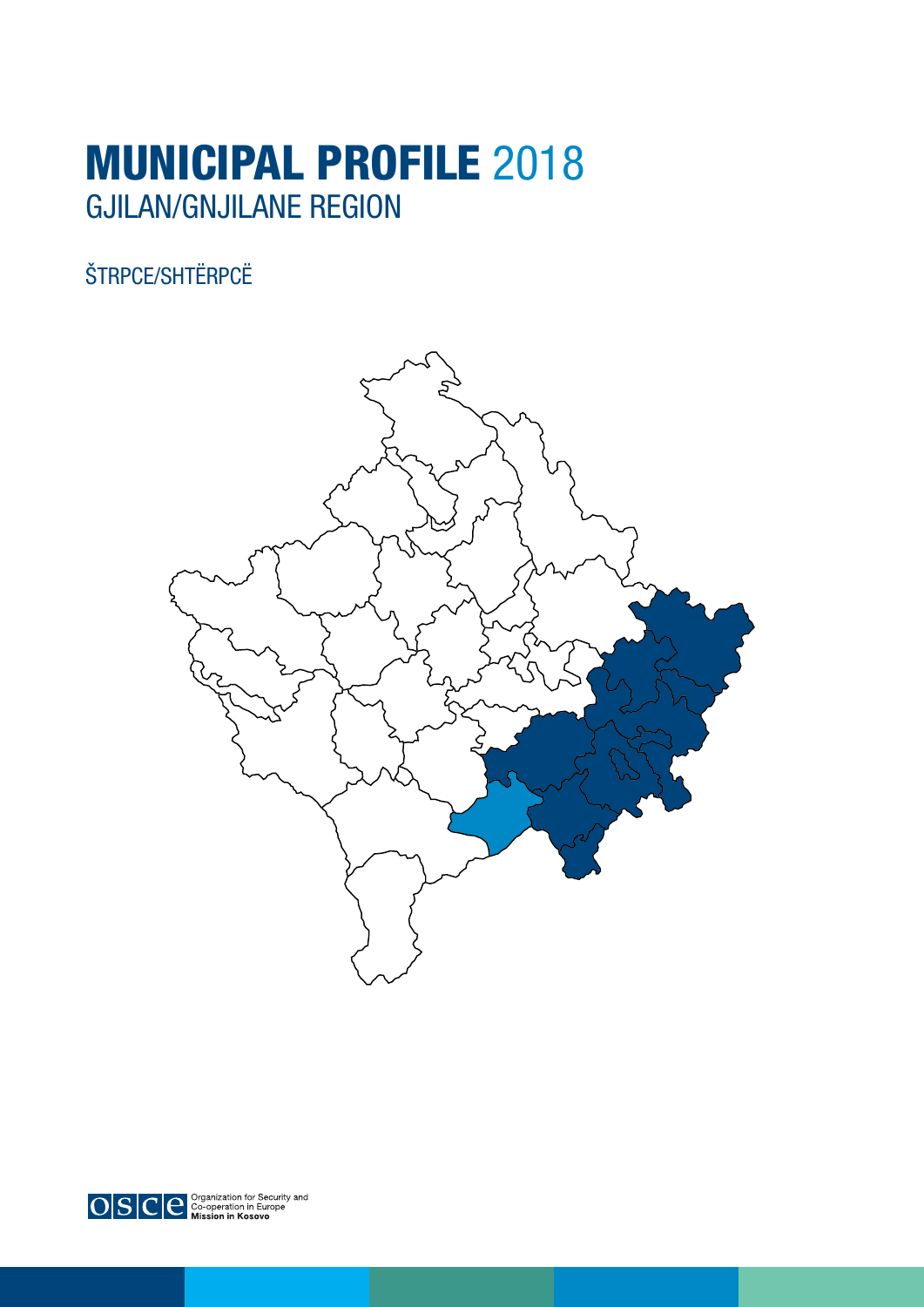# MUNICIPAL PROFILE 2018 GJILAN/GNJILANE REGION

### ŠTRPCE/SHTËRPCË





 $\left| \text{O}|\text{S}|\text{C}|\text{e}^{\frac{\text{Cyganiization for Security and}}{\text{Rission in Europe}}} \right|$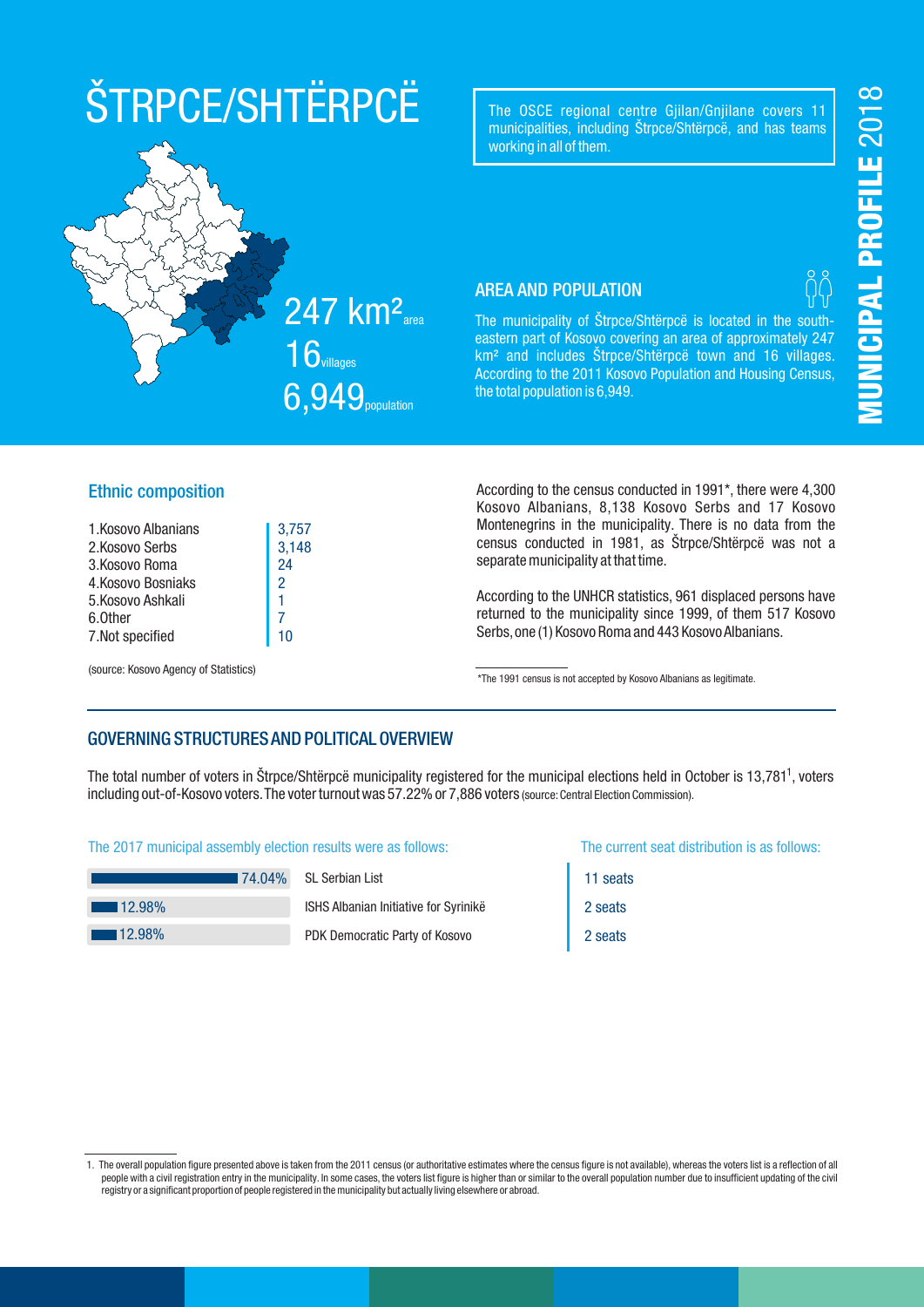# ŠTRPCE/SHTËRPCË

The OSCE regional centre Gjilan/Gnjilane covers 11 municipalities, including Štrpce/Shtërpcë, and has teams working in all of them.

#### AREA AND POPULATION

The municipality of Štrpce/Shtërpcë is located in the southeastern part of Kosovo covering an area of approximately 247 km² and includes Štrpce/Shtërpcë town and 16 villages. According to the 2011 Kosovo Population and Housing Census, the total population is 6,949.

#### Ethnic composition

| 1. Kosovo Albanians | 3,757         |
|---------------------|---------------|
| 2.Kosovo Serbs      | 3,148         |
| 3.Kosovo Roma       | 24            |
| 4.Kosovo Bosniaks   | $\mathcal{P}$ |
| 5.Kosovo Ashkali    |               |
| 6.0ther             |               |
| 7.Not specified     | 10            |
|                     |               |

(source: Kosovo Agency of Statistics)

According to the census conducted in 1991\*, there were 4,300 Kosovo Albanians, 8,138 Kosovo Serbs and 17 Kosovo Montenegrins in the municipality. There is no data from the census conducted in 1981, as Štrpce/Shtërpcë was not a separate municipality at that time.

According to the UNHCR statistics, 961 displaced persons have returned to the municipality since 1999, of them 517 Kosovo Serbs,one (1) Kosovo Roma and 443 Kosovo Albanians.

\*The 1991 census is not accepted by Kosovo Albanians as legitimate.

#### GOVERNING STRUCTURES AND POLITICAL OVERVIEW

The total number of voters in Štrpce/Shtërpcë municipality registered for the municipal elections held in October is 13,781<sup>1</sup>, voters including out-of-Kosovo voters. The voter turnout was 57.22% or 7,886 voters (source: Central Election Commission).

#### The 2017 municipal assembly election results were as follows: The current seat distribution is as follows:

|                       | ∎74.04% |
|-----------------------|---------|
| $\blacksquare$ 12.98% |         |
| $12.98\%$             |         |

SL Serbian List

ISHS Albanian Initiative for Syrinikë PDK Democratic Party of Kosovo

11 seats 2 seats 2 seats

### 247 km<sup>2</sup><sub>area</sub>  $16$ villages



<sup>1.</sup> The overall population figure presented above is taken from the 2011 census (or authoritative estimates where the census figure is not available),whereas the voters list is a reflection of all people with a civil registration entry in the municipality. In some cases, the voters list figure is higher than or similar to the overall population number due to insufficient updating of the civil registry or a significant proportion of people registered in the municipality but actually living elsewhere or abroad.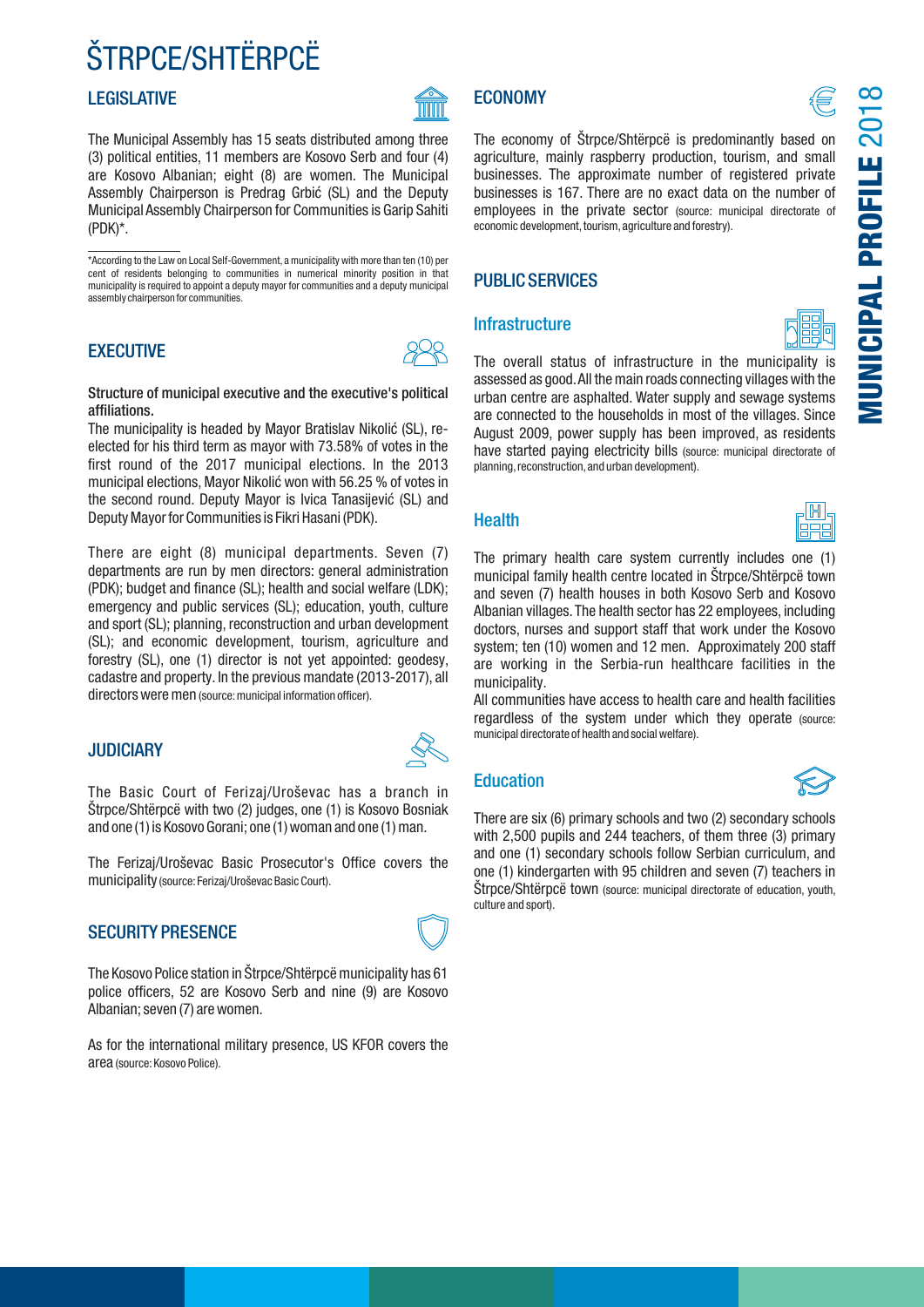# ŠTRPCE/SHTËRPCË

#### **LEGISLATIVE**

TITUTT

The Municipal Assembly has 15 seats distributed among three (3) political entities, 11 members are Kosovo Serb and four (4) are Kosovo Albanian; eight (8) are women. The Municipal Assembly Chairperson is Predrag Grbić (SL) and the Deputy Municipal Assembly Chairperson for Communities is Garip Sahiti (PDK)\*.

\*According to the Law on Local Self-Government, a municipality with more than ten (10) per cent of residents belonging to communities in numerical minority position in that municipality is required to appoint a deputy mayor for communities and a deputy municipal assembly chairperson for communities.

#### **EXECUTIVE**



#### Structure of municipal executive and the executive's political affiliations.

The municipality is headed by Mayor Bratislav Nikolić (SL), reelected for his third term as mayor with 73.58% of votes in the first round of the 2017 municipal elections. In the 2013 municipal elections, Mayor Nikolić won with 56.25 % of votes in the second round. Deputy Mayor is Ivica Tanasijević (SL) and Deputy Mayor for Communities is Fikri Hasani (PDK).

There are eight (8) municipal departments. Seven (7) departments are run by men directors: general administration (PDK); budget and finance (SL); health and social welfare (LDK); emergency and public services (SL); education, youth, culture and sport (SL); planning, reconstruction and urban development (SL); and economic development, tourism, agriculture and forestry (SL), one (1) director is not yet appointed: geodesy, cadastre and property. In the previous mandate (2013-2017), all directors were men (source:municipal information officer).

#### JUDICIARY

The Basic Court of Ferizaj/Uroševac has a branch in Štrpce/Shtërpcë with two (2) judges, one (1) is Kosovo Bosniak and one (1) is Kosovo Gorani; one (1) woman and one (1) man.

The Ferizaj/Uroševac Basic Prosecutor's Office covers the municipality (source:Ferizaj/Uroševac Basic Court).

#### SECURITY PRESENCE



As for the international military presence, US KFOR covers the area (source:Kosovo Police).

### **ECONOMY**  $\bigcirc$

MUNICIPAL PROFILE 2018

The economy of Štrpce/Shtërpcë is predominantly based on agriculture, mainly raspberry production, tourism, and small businesses. The approximate number of registered private businesses is 167. There are no exact data on the number of employees in the private sector (source: municipal directorate of economic development, tourism, agriculture and forestry).

#### PUBLIC SERVICES

#### **Infrastructure**



The overall status of infrastructure in the municipality is assessed as good.All the main roads connecting villages with the urban centre are asphalted. Water supply and sewage systems are connected to the households in most of the villages. Since August 2009, power supply has been improved, as residents have started paying electricity bills (source: municipal directorate of planning, reconstruction, and urban development).

#### **Health**



The primary health care system currently includes one (1) municipal family health centre located in Štrpce/Shtërpcë town and seven (7) health houses in both Kosovo Serb and Kosovo Albanian villages.The health sector has 22 employees, including doctors, nurses and support staff that work under the Kosovo system; ten (10) women and 12 men. Approximately 200 staff are working in the Serbia-run healthcare facilities in the municipality.

All communities have access to health care and health facilities regardless of the system under which they operate (source: municipal directorate of health and social welfare).

#### Education



There are six (6) primary schools and two (2) secondary schools with 2,500 pupils and 244 teachers, of them three (3) primary and one (1) secondary schools follow Serbian curriculum, and one (1) kindergarten with 95 children and seven (7) teachers in Štrpce/Shtërpcë town (source: municipal directorate of education, youth, culture and sport).